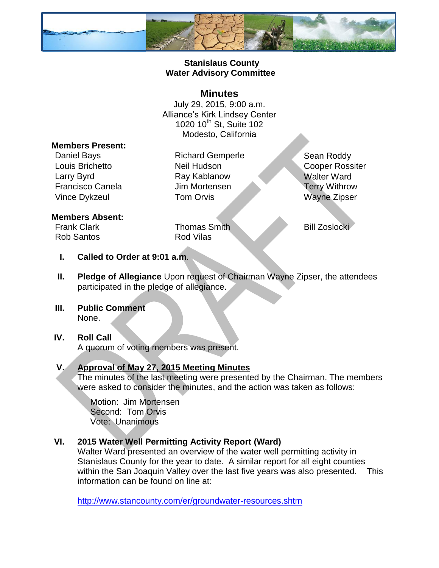

## **Stanislaus County Water Advisory Committee**

## **Minutes**

July 29, 2015, 9:00 a.m. Alliance's Kirk Lindsey Center 1020 10<sup>th</sup> St, Suite 102 Modesto, California

#### **Members Present:**

Daniel Bays **Richard Gemperle** Sean Roddy Louis Brichetto **Neil Hudson** Neil Hudson Cooper Rossiter Larry Byrd **Ray Kablanow** Ray Kablanow Walter Ward Francisco Canela Jim Mortensen Terry Withrow Vince Dykzeul **Tom Orvis** Wayne Zipser

#### **Members Absent:**

Rob Santos **Rod Vilas** 

Frank Clark **Thomas Smith** Bill Zoslocki

- **I. Called to Order at 9:01 a.m**.
- **II. Pledge of Allegiance** Upon request of Chairman Wayne Zipser, the attendees participated in the pledge of allegiance.
- **III. Public Comment** None.

# **IV. Roll Call**

A quorum of voting members was present.

## **V. Approval of May 27, 2015 Meeting Minutes**

The minutes of the last meeting were presented by the Chairman. The members were asked to consider the minutes, and the action was taken as follows:

Motion: Jim Mortensen Second: Tom Orvis Vote: Unanimous

## **VI. 2015 Water Well Permitting Activity Report (Ward)**

Walter Ward presented an overview of the water well permitting activity in Stanislaus County for the year to date. A similar report for all eight counties within the San Joaquin Valley over the last five years was also presented. This information can be found on line at:

<http://www.stancounty.com/er/groundwater-resources.shtm>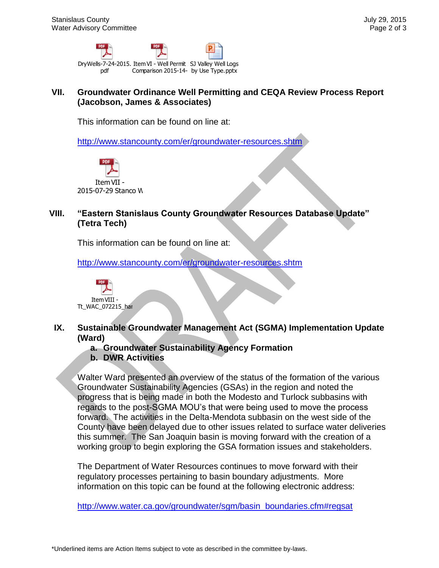

#### **VII. Groundwater Ordinance Well Permitting and CEQA Review Process Report (Jacobson, James & Associates)**

This information can be found on line at:

<http://www.stancounty.com/er/groundwater-resources.shtm>



### **VIII. "Eastern Stanislaus County Groundwater Resources Database Update" (Tetra Tech)**

This information can be found on line at:

<http://www.stancounty.com/er/groundwater-resources.shtm>



- **IX. Sustainable Groundwater Management Act (SGMA) Implementation Update (Ward)**
	- **a. Groundwater Sustainability Agency Formation**
	- **b. DWR Activities**

Express that is being many of the status of the CRA Review Constrained in the committee Well Permitting and CEQA Review (Jacobson, James & Associates)<br>
This information can be found on line at:<br>
http://www.stancounty.com/e Walter Ward presented an overview of the status of the formation of the various Groundwater Sustainability Agencies (GSAs) in the region and noted the progress that is being made in both the Modesto and Turlock subbasins with regards to the post-SGMA MOU's that were being used to move the process forward. The activities in the Delta-Mendota subbasin on the west side of the County have been delayed due to other issues related to surface water deliveries this summer. The San Joaquin basin is moving forward with the creation of a working group to begin exploring the GSA formation issues and stakeholders.

The Department of Water Resources continues to move forward with their regulatory processes pertaining to basin boundary adjustments. More information on this topic can be found at the following electronic address:

[http://www.water.ca.gov/groundwater/sgm/basin\\_boundaries.cfm#regsat](http://www.water.ca.gov/groundwater/sgm/basin_boundaries.cfm#regsat)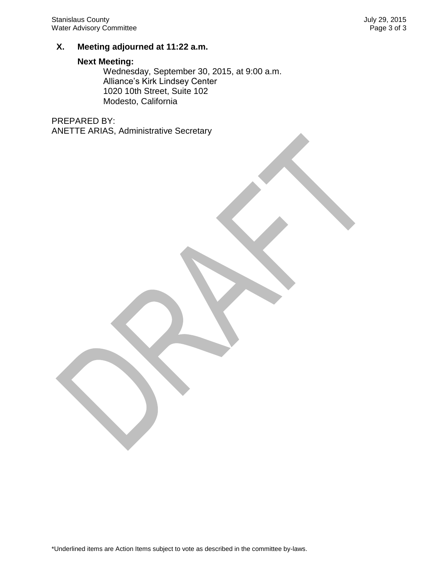#### **X. Meeting adjourned at 11:22 a.m.**

#### **Next Meeting:**

Wednesday, September 30, 2015, at 9:00 a.m. Alliance's Kirk Lindsey Center 1020 10th Street, Suite 102 Modesto, California

PREPARED BY: ANETTE ARIAS, Administrative Secretary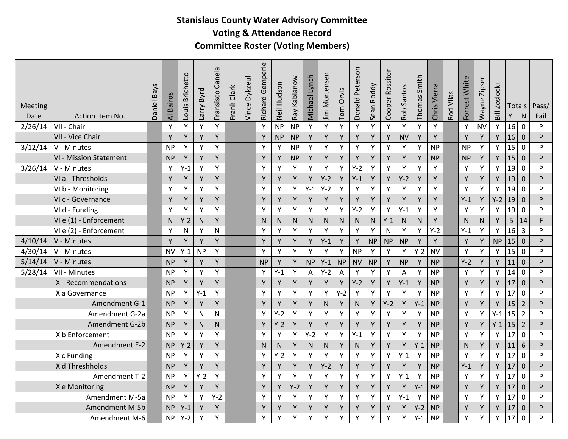## **Stanislaus County Water Advisory Committee Voting & Attendance Record Committee Roster (Voting Members)**

| Meeting<br>Date | Action Item No.               | Daniel Bays | <b>Bairos</b><br>$\overline{\mathbf{z}}$ | -ouis Brichetto | Byrd<br><b>Aue</b> | Canela<br>Fransisco | Frank Clark | Vince Dykzeul | Richard Gemperle | Neil Hudson | Kablanow<br>Ray | Michael Lynch | Jim Mortensen | Tom Orvis | Donald Peterson | Sean Roddy | Cooper Rossiter | Santos<br>Rob | Thomas Smith | Chris Vierra | Vilas<br>Rod <sup>-</sup> | Forrest White | Zipser<br>Wayne | <b>Zoslocki</b><br>Bill | Totals<br>Y | N              | Pass/<br>Fail |
|-----------------|-------------------------------|-------------|------------------------------------------|-----------------|--------------------|---------------------|-------------|---------------|------------------|-------------|-----------------|---------------|---------------|-----------|-----------------|------------|-----------------|---------------|--------------|--------------|---------------------------|---------------|-----------------|-------------------------|-------------|----------------|---------------|
| 2/26/14         | VII - Chair                   |             | Υ                                        | Y               | Y                  | Υ                   |             |               | Y                | <b>NP</b>   | <b>NP</b>       | Y             | Y             | Y         | Υ               | Y          | Y               | Υ             | Y            | Υ            |                           | Y             | <b>NV</b>       | Y                       | 16          | $\mathbf 0$    | P             |
|                 | VII - Vice Chair              |             | Y                                        | Y               | Y                  | Y                   |             |               | Y                | <b>NP</b>   | <b>NP</b>       | Y             | Y             | Y         | Y               | Y          | Y               | <b>NV</b>     | Y            | Y            |                           | Y             | Y               | Y                       | 16          | $\mathbf{0}$   | P             |
| 3/12/14         | V - Minutes                   |             | <b>NP</b>                                | Y               | Y                  | Υ                   |             |               | Y                | Y           | <b>NP</b>       | Y             | Y             | Y         | Υ               | Y          | Y               | Y             | Y            | <b>NP</b>    |                           | <b>NP</b>     | Y               | Y                       | 15          | $\mathbf 0$    | <b>P</b>      |
|                 | <b>VI - Mission Statement</b> |             | <b>NP</b>                                | Y               | Y                  | Y                   |             |               | Y                | Y           | <b>NP</b>       | Y             | Y             | Y         | Y               | Y          | Y               | Y             | Y            | <b>NP</b>    |                           | <b>NP</b>     | Y               | Y                       | 15          | $\mathbf{0}$   | P             |
| 3/26/14         | V - Minutes                   |             | Y                                        | $Y-1$           | Y                  | Υ                   |             |               | Y                | Y           | Y               | Υ             | Y             | Υ         | $Y-2$           | Y          | Y               | Y             | Y            | Υ            |                           | Y             | Y               | Y                       | 19          | 0              | <b>P</b>      |
|                 | VI a - Thresholds             |             | Y                                        | Y               | Υ                  | Υ                   |             |               | Υ                | Y           | Y               | Υ             | $Y-2$         | Υ         | $Y-1$           | Υ          | Y               | $Y-2$         | Υ            | Y            |                           | Y             | Y               | Y                       | 19          | $\pmb{0}$      | P             |
|                 | VI b - Monitoring             |             | Y                                        | Υ               | Y                  | Y                   |             |               | Y                | Y           | Y               | $Y-1$         | $Y-2$         | Υ         | Υ               | Y          | Y               | Y             | Y            | Υ            |                           | Y             | Y               | Y                       | 19          | $\mathbf 0$    | P             |
|                 | VI c - Governance             |             | Y                                        | Y               | Y                  | Y                   |             |               | Y                | Y           | Y               | Y             | Y             | Y         | Y               | Y          | Y               | Y             | Y            | Y            |                           | $Y-1$         | Y               | $Y-2$                   | 19          | $\mathbf 0$    | P             |
|                 | VI d - Funding                |             | Y                                        | Y               | Y                  | Y                   |             |               | Y                | Y           | Y               | Υ             | Y             | Υ         | $Y-2$           | Y          | Y               | $Y-1$         | Y            | Υ            |                           | Y             | Y               | Y                       | 19          | $\mathbf 0$    | P             |
|                 | VI e (1) - Enforcement        |             | N                                        | $Y-2$           | N                  | Y                   |             |               | N                | N           | N               | N.            | N             | N         | N               | N          | $Y-1$           | N.            | $\mathsf{N}$ | Y            |                           | N             | N               | Y                       | 5           | 14             | F             |
|                 | VI e (2) - Enforcement        |             | Y                                        | N               | Y                  | $\mathsf{N}$        |             |               | Y                | Y           | Y               | Y             | Y             | Υ         | Υ               | Y          | N               | Y             | Y            | $Y-2$        |                           | $Y-1$         | Y               | Y                       | 16          | $\overline{3}$ | P             |
| 4/10/14         | V - Minutes                   |             | Y                                        | Y               | γ                  | Y                   |             |               | Y                | Y           | Y               | Y             | $Y-1$         | Y         | Y               | <b>NP</b>  | <b>NP</b>       | <b>NP</b>     | Y            | Y            |                           | Y             | Y               | <b>NP</b>               | 15          | $\mathbf 0$    | P             |
| 4/30/14         | V - Minutes                   |             | <b>NV</b>                                | $Y-1$           | <b>NP</b>          | Υ                   |             |               | Y                | Y           | Y               | Y             | Y             | Y         | <b>NP</b>       | Y          | Y               | Y             | $Y-2$        | <b>NV</b>    |                           | Y             | Y               | Y                       | 15          | $\mathbf 0$    | P             |
| 5/14/14         | V - Minutes                   |             | <b>NP</b>                                | Y               | Y                  | Y                   |             |               | <b>NP</b>        | Y           | Y               | <b>NP</b>     | $Y-1$         | <b>NP</b> | <b>NV</b>       | <b>NP</b>  | Y               | <b>NP</b>     | Y            | <b>NP</b>    |                           | $Y-2$         | Y               | Y                       | 11          | $\mathbf{0}$   | <b>P</b>      |
| 5/28/14         | VII - Minutes                 |             | <b>NP</b>                                | Y               | Y                  | Υ                   |             |               | Y                | $Y-1$       | Y               | Α             | $Y-2$         | Α         | Υ               | Y          | Y               | Α             | Y            | <b>NP</b>    |                           | Y             | Y               | Y                       | 14          | $\mathbf 0$    | <b>D</b>      |
|                 | IX - Recommendations          |             | <b>NP</b>                                | Y               | Y                  | Y                   |             |               | Y                | Υ           | Υ               | Y             | Y             | Y         | $Y-2$           | Y          | Y               | $Y-1$         | Y            | <b>NP</b>    |                           | Y             | Y               | Υ                       | 17          | $\mathbf 0$    | P             |
|                 | IX a Governance               |             | <b>NP</b>                                | Y               | $Y-1$              | Y                   |             |               | Y                | Y           | Y               | Y             | Y             | Y-2       | Υ               | Y          | Y               | Y             | Y            | <b>NP</b>    |                           | Y             | Y               | Y                       | 17          | $\pmb{0}$      | D             |
|                 | Amendment G-1                 |             | <b>NP</b>                                | Y               | Y                  | Y                   |             |               | Y                | Y           | Y               | Y             | N             | Y         | N               | Y          | $Y-2$           | Y             | $Y-1$        | <b>NP</b>    |                           | Y             | Y               | Y                       | 15          | $\overline{2}$ | P             |
|                 | Amendment G-2a                |             | <b>NP</b>                                | Y               | N                  | N                   |             |               | Y                | $Y-2$       | Y               | Υ             | Y             | Y         | Υ               | Y          | Y               | Υ             | Y            | <b>NP</b>    |                           | Y             | Y               | $Y-1$                   | 15          | $\overline{2}$ | Þ             |
|                 | Amendment G-2b                |             | <b>NP</b>                                | Y               | N                  | N.                  |             |               | Y                | $Y-2$       | Y               | Υ             | Y             | Y         | Y               | Y          | Y               | Y             | Y            | <b>NP</b>    |                           | Y             | Y               | $Y-1$                   | 15          | $\overline{2}$ | P             |
|                 | IX b Enforcement              |             | <b>NP</b>                                | Y               | Y                  | Y                   |             |               | Y                | Y           | Y               | $Y-2$         | Y             | Υ         | $Y-1$           | Y          | Y               | Υ             | Y            | <b>NP</b>    |                           | Y             | Y               | Y                       | 17          | 0              | P             |
|                 | Amendment E-2                 |             | <b>NP</b>                                | $Y-2$           | Y                  | Y                   |             |               | N                | N           | Y               | N             | ${\sf N}$     | Υ         | ${\sf N}$       | Y          | Y               | Y             | $Y-1$        | <b>NP</b>    |                           | $\mathsf{N}$  | Y               | Y                       | 11          | $6\,$          | P             |
|                 | IX c Funding                  |             | <b>NP</b>                                | Y               | Y                  | Υ                   |             |               | Υ                | $Y-2$       | Υ               | Υ             | Υ             | Υ         | Υ               | Y          | Υ               | $Y-1$         | Υ            | <b>NP</b>    |                           | Y             | Y               | Y                       | 17          | $\mathbf 0$    | P             |
|                 | IX d Threshholds              |             | <b>NP</b>                                | Y               | Y                  | Υ                   |             |               | Y                | Υ           | Υ               | Υ             | $Y-2$         | Y         | Υ               | Υ          | Y               | Y             | Y            | <b>NP</b>    |                           | $Y-1$         | Υ               | Y                       | 17          | $\pmb{0}$      | P             |
|                 | Amendment T-2                 |             | <b>NP</b>                                | Y               | $Y-2$              | Υ                   |             |               | Υ                | Y           | Υ               | Υ             | Υ             | Υ         | Y               | Y          | Υ               | $Y-1$         | Y            | <b>NP</b>    |                           | Y             | Y               | Y                       | 17          | $\mathbf 0$    | P             |
|                 | IX e Monitoring               |             | <b>NP</b>                                | Y               | Y                  | Y                   |             |               | Υ                | Y           | $Y-2$           | Y             | Y             | Y         | Υ               | Y          | Y               | Y             | $Y-1$        | <b>NP</b>    |                           | Y             | Y               | Y                       | 17          | $\mathbf{0}$   | P             |
|                 | Amendment M-5a                |             | <b>NP</b>                                | Y               | Y                  | $Y-2$               |             |               | Y                | Y           | Y               | Υ             | Y             | Y         | Υ               | Y          | Y               | $Y-1$         | Y            | <b>NP</b>    |                           | Y             | Y               | Y                       | 17          | $\pmb{0}$      | P             |
|                 | Amendment M-5b                |             | <b>NP</b>                                | $Y-1$           | Y                  | Υ                   |             |               | Υ                | Y           | Y               | Υ             | Y             | Υ         | Υ               | Y          | Y               | Y             | $Y-2$        | <b>NP</b>    |                           | Υ             | Y               | Y                       | 17          | $\mathbf 0$    | P             |
|                 | Amendment M-6                 |             | <b>NP</b>                                | $Y-2$           | Y                  | Y                   |             |               | Υ                | Υ           | Y               | Y             | Y             | Υ         | Υ               | Υ          | Υ               | Y             | $Y-1$        | <b>NP</b>    |                           | Y             | Υ               | Y                       | 17          | 0              | P             |